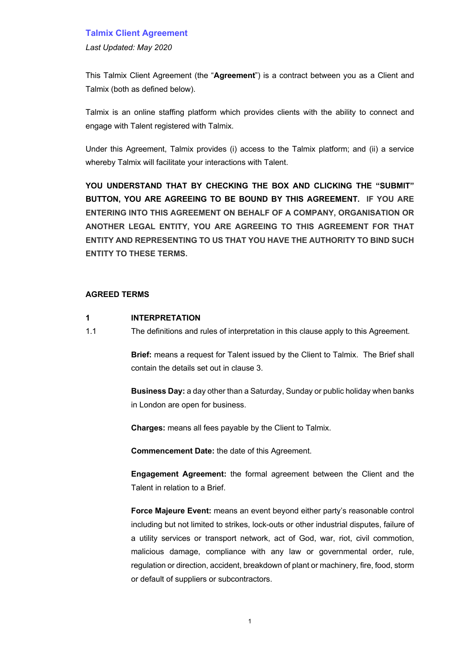*Last Updated: May 2020*

This Talmix Client Agreement (the "**Agreement**") is a contract between you as a Client and Talmix (both as defined below).

Talmix is an online staffing platform which provides clients with the ability to connect and engage with Talent registered with Talmix.

Under this Agreement, Talmix provides (i) access to the Talmix platform; and (ii) a service whereby Talmix will facilitate your interactions with Talent.

**YOU UNDERSTAND THAT BY CHECKING THE BOX AND CLICKING THE "SUBMIT" BUTTON, YOU ARE AGREEING TO BE BOUND BY THIS AGREEMENT. IF YOU ARE ENTERING INTO THIS AGREEMENT ON BEHALF OF A COMPANY, ORGANISATION OR ANOTHER LEGAL ENTITY, YOU ARE AGREEING TO THIS AGREEMENT FOR THAT ENTITY AND REPRESENTING TO US THAT YOU HAVE THE AUTHORITY TO BIND SUCH ENTITY TO THESE TERMS.**

#### **AGREED TERMS**

### **1 INTERPRETATION**

1.1 The definitions and rules of interpretation in this clause apply to this Agreement.

**Brief:** means a request for Talent issued by the Client to Talmix. The Brief shall contain the details set out in clause 3.

**Business Day:** a day other than a Saturday, Sunday or public holiday when banks in London are open for business.

**Charges:** means all fees payable by the Client to Talmix.

**Commencement Date:** the date of this Agreement.

**Engagement Agreement:** the formal agreement between the Client and the Talent in relation to a Brief.

**Force Majeure Event:** means an event beyond either party's reasonable control including but not limited to strikes, lock-outs or other industrial disputes, failure of a utility services or transport network, act of God, war, riot, civil commotion, malicious damage, compliance with any law or governmental order, rule, regulation or direction, accident, breakdown of plant or machinery, fire, food, storm or default of suppliers or subcontractors.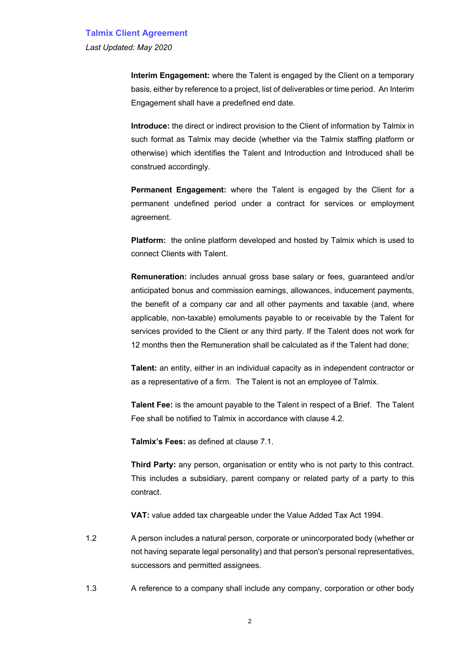*Last Updated: May 2020*

**Interim Engagement:** where the Talent is engaged by the Client on a temporary basis, either by reference to a project, list of deliverables or time period. An Interim Engagement shall have a predefined end date.

**Introduce:** the direct or indirect provision to the Client of information by Talmix in such format as Talmix may decide (whether via the Talmix staffing platform or otherwise) which identifies the Talent and Introduction and Introduced shall be construed accordingly.

**Permanent Engagement:** where the Talent is engaged by the Client for a permanent undefined period under a contract for services or employment agreement.

**Platform:** the online platform developed and hosted by Talmix which is used to connect Clients with Talent.

**Remuneration:** includes annual gross base salary or fees, guaranteed and/or anticipated bonus and commission earnings, allowances, inducement payments, the benefit of a company car and all other payments and taxable (and, where applicable, non-taxable) emoluments payable to or receivable by the Talent for services provided to the Client or any third party. If the Talent does not work for 12 months then the Remuneration shall be calculated as if the Talent had done;

**Talent:** an entity, either in an individual capacity as in independent contractor or as a representative of a firm. The Talent is not an employee of Talmix.

**Talent Fee:** is the amount payable to the Talent in respect of a Brief. The Talent Fee shall be notified to Talmix in accordance with clause 4.2.

**Talmix's Fees:** as defined at clause 7.1.

**Third Party:** any person, organisation or entity who is not party to this contract. This includes a subsidiary, parent company or related party of a party to this contract.

**VAT:** value added tax chargeable under the Value Added Tax Act 1994.

- 1.2 A person includes a natural person, corporate or unincorporated body (whether or not having separate legal personality) and that person's personal representatives, successors and permitted assignees.
- 1.3 A reference to a company shall include any company, corporation or other body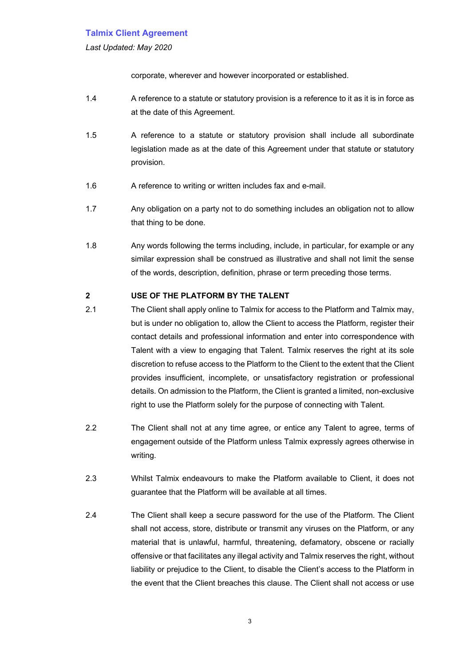*Last Updated: May 2020*

corporate, wherever and however incorporated or established.

- 1.4 A reference to a statute or statutory provision is a reference to it as it is in force as at the date of this Agreement.
- 1.5 A reference to a statute or statutory provision shall include all subordinate legislation made as at the date of this Agreement under that statute or statutory provision.
- 1.6 A reference to writing or written includes fax and e-mail.
- 1.7 Any obligation on a party not to do something includes an obligation not to allow that thing to be done.
- 1.8 Any words following the terms including, include, in particular, for example or any similar expression shall be construed as illustrative and shall not limit the sense of the words, description, definition, phrase or term preceding those terms.

## **2 USE OF THE PLATFORM BY THE TALENT**

- 2.1 The Client shall apply online to Talmix for access to the Platform and Talmix may, but is under no obligation to, allow the Client to access the Platform, register their contact details and professional information and enter into correspondence with Talent with a view to engaging that Talent. Talmix reserves the right at its sole discretion to refuse access to the Platform to the Client to the extent that the Client provides insufficient, incomplete, or unsatisfactory registration or professional details. On admission to the Platform, the Client is granted a limited, non-exclusive right to use the Platform solely for the purpose of connecting with Talent.
- 2.2 The Client shall not at any time agree, or entice any Talent to agree, terms of engagement outside of the Platform unless Talmix expressly agrees otherwise in writing.
- 2.3 Whilst Talmix endeavours to make the Platform available to Client, it does not guarantee that the Platform will be available at all times.
- 2.4 The Client shall keep a secure password for the use of the Platform. The Client shall not access, store, distribute or transmit any viruses on the Platform, or any material that is unlawful, harmful, threatening, defamatory, obscene or racially offensive or that facilitates any illegal activity and Talmix reserves the right, without liability or prejudice to the Client, to disable the Client's access to the Platform in the event that the Client breaches this clause. The Client shall not access or use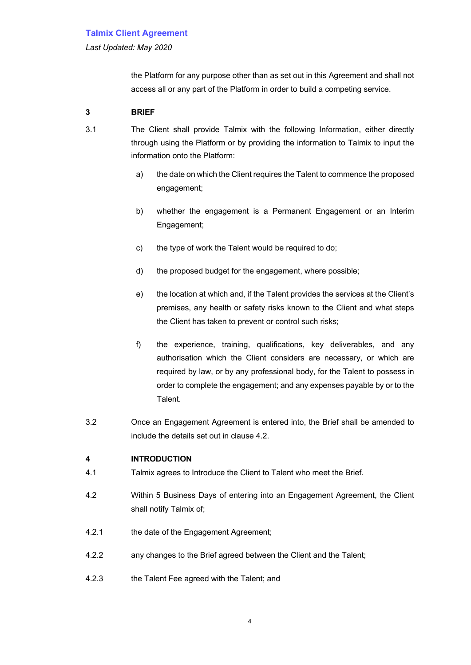*Last Updated: May 2020*

the Platform for any purpose other than as set out in this Agreement and shall not access all or any part of the Platform in order to build a competing service.

## **3 BRIEF**

3.1 The Client shall provide Talmix with the following Information, either directly through using the Platform or by providing the information to Talmix to input the information onto the Platform:

- a) the date on which the Client requires the Talent to commence the proposed engagement;
- b) whether the engagement is a Permanent Engagement or an Interim Engagement;
- c) the type of work the Talent would be required to do;
- d) the proposed budget for the engagement, where possible;
- e) the location at which and, if the Talent provides the services at the Client's premises, any health or safety risks known to the Client and what steps the Client has taken to prevent or control such risks;
- f) the experience, training, qualifications, key deliverables, and any authorisation which the Client considers are necessary, or which are required by law, or by any professional body, for the Talent to possess in order to complete the engagement; and any expenses payable by or to the Talent.
- 3.2 Once an Engagement Agreement is entered into, the Brief shall be amended to include the details set out in clause 4.2.

## **4 INTRODUCTION**

- 4.1 Talmix agrees to Introduce the Client to Talent who meet the Brief.
- 4.2 Within 5 Business Days of entering into an Engagement Agreement, the Client shall notify Talmix of;
- 4.2.1 the date of the Engagement Agreement;
- 4.2.2 any changes to the Brief agreed between the Client and the Talent;
- 4.2.3 the Talent Fee agreed with the Talent; and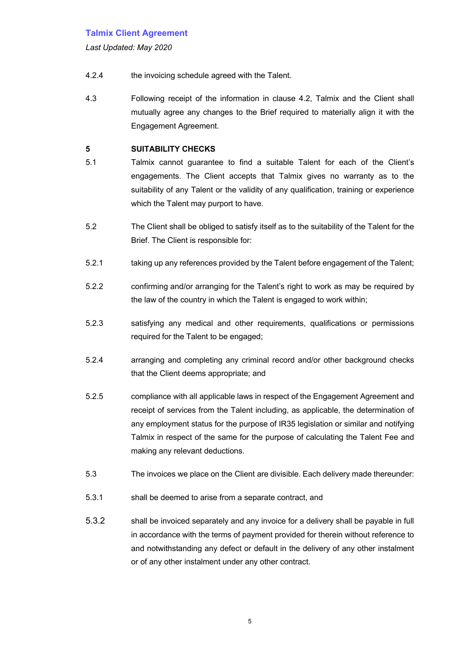*Last Updated: May 2020*

- 4.2.4 the invoicing schedule agreed with the Talent.
- 4.3 Following receipt of the information in clause 4.2, Talmix and the Client shall mutually agree any changes to the Brief required to materially align it with the Engagement Agreement.

## **5 SUITABILITY CHECKS**

- 5.1 Talmix cannot guarantee to find a suitable Talent for each of the Client's engagements. The Client accepts that Talmix gives no warranty as to the suitability of any Talent or the validity of any qualification, training or experience which the Talent may purport to have.
- 5.2 The Client shall be obliged to satisfy itself as to the suitability of the Talent for the Brief. The Client is responsible for:
- 5.2.1 taking up any references provided by the Talent before engagement of the Talent;
- 5.2.2 confirming and/or arranging for the Talent's right to work as may be required by the law of the country in which the Talent is engaged to work within;
- 5.2.3 satisfying any medical and other requirements, qualifications or permissions required for the Talent to be engaged;
- 5.2.4 arranging and completing any criminal record and/or other background checks that the Client deems appropriate; and
- 5.2.5 compliance with all applicable laws in respect of the Engagement Agreement and receipt of services from the Talent including, as applicable, the determination of any employment status for the purpose of IR35 legislation or similar and notifying Talmix in respect of the same for the purpose of calculating the Talent Fee and making any relevant deductions.
- 5.3 The invoices we place on the Client are divisible. Each delivery made thereunder:
- 5.3.1 shall be deemed to arise from a separate contract, and
- 5.3.2 shall be invoiced separately and any invoice for a delivery shall be payable in full in accordance with the terms of payment provided for therein without reference to and notwithstanding any defect or default in the delivery of any other instalment or of any other instalment under any other contract.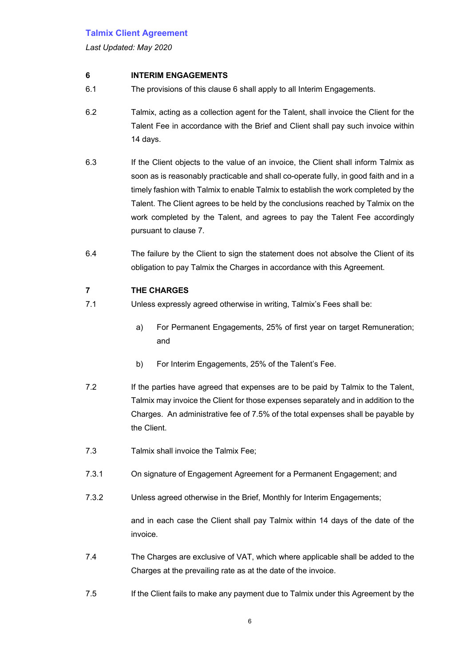*Last Updated: May 2020*

## **6 INTERIM ENGAGEMENTS**

- 6.1 The provisions of this clause 6 shall apply to all Interim Engagements.
- 6.2 Talmix, acting as a collection agent for the Talent, shall invoice the Client for the Talent Fee in accordance with the Brief and Client shall pay such invoice within 14 days.
- 6.3 If the Client objects to the value of an invoice, the Client shall inform Talmix as soon as is reasonably practicable and shall co-operate fully, in good faith and in a timely fashion with Talmix to enable Talmix to establish the work completed by the Talent. The Client agrees to be held by the conclusions reached by Talmix on the work completed by the Talent, and agrees to pay the Talent Fee accordingly pursuant to clause 7.
- 6.4 The failure by the Client to sign the statement does not absolve the Client of its obligation to pay Talmix the Charges in accordance with this Agreement.

## **7 THE CHARGES**

- 7.1 Unless expressly agreed otherwise in writing, Talmix's Fees shall be:
	- a) For Permanent Engagements, 25% of first year on target Remuneration; and
	- b) For Interim Engagements, 25% of the Talent's Fee.
- 7.2 If the parties have agreed that expenses are to be paid by Talmix to the Talent, Talmix may invoice the Client for those expenses separately and in addition to the Charges. An administrative fee of 7.5% of the total expenses shall be payable by the Client.
- 7.3 Talmix shall invoice the Talmix Fee;
- 7.3.1 On signature of Engagement Agreement for a Permanent Engagement; and
- 7.3.2 Unless agreed otherwise in the Brief, Monthly for Interim Engagements;

and in each case the Client shall pay Talmix within 14 days of the date of the invoice.

- 7.4 The Charges are exclusive of VAT, which where applicable shall be added to the Charges at the prevailing rate as at the date of the invoice.
- 7.5 If the Client fails to make any payment due to Talmix under this Agreement by the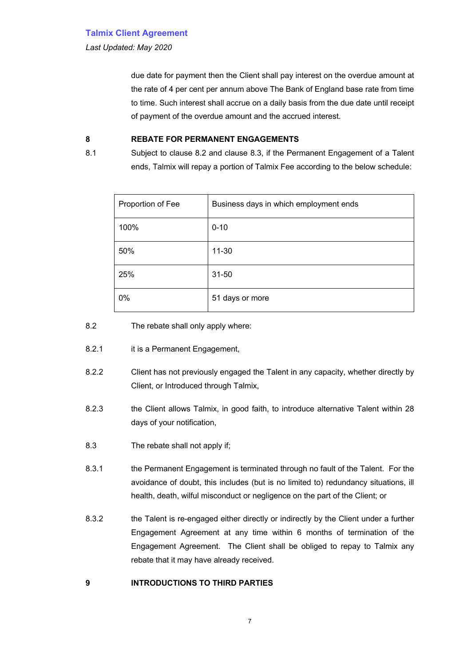*Last Updated: May 2020*

due date for payment then the Client shall pay interest on the overdue amount at the rate of 4 per cent per annum above The Bank of England base rate from time to time. Such interest shall accrue on a daily basis from the due date until receipt of payment of the overdue amount and the accrued interest.

#### **8 REBATE FOR PERMANENT ENGAGEMENTS**

8.1 Subject to clause 8.2 and clause 8.3, if the Permanent Engagement of a Talent ends, Talmix will repay a portion of Talmix Fee according to the below schedule:

| Proportion of Fee | Business days in which employment ends |
|-------------------|----------------------------------------|
| 100%              | $0 - 10$                               |
| 50%               | $11 - 30$                              |
| 25%               | $31 - 50$                              |
| 0%                | 51 days or more                        |

8.2 The rebate shall only apply where:

- 8.2.1 it is a Permanent Engagement,
- 8.2.2 Client has not previously engaged the Talent in any capacity, whether directly by Client, or Introduced through Talmix,
- 8.2.3 the Client allows Talmix, in good faith, to introduce alternative Talent within 28 days of your notification,
- 8.3 The rebate shall not apply if;
- 8.3.1 the Permanent Engagement is terminated through no fault of the Talent. For the avoidance of doubt, this includes (but is no limited to) redundancy situations, ill health, death, wilful misconduct or negligence on the part of the Client; or
- 8.3.2 the Talent is re-engaged either directly or indirectly by the Client under a further Engagement Agreement at any time within 6 months of termination of the Engagement Agreement. The Client shall be obliged to repay to Talmix any rebate that it may have already received.

### **9 INTRODUCTIONS TO THIRD PARTIES**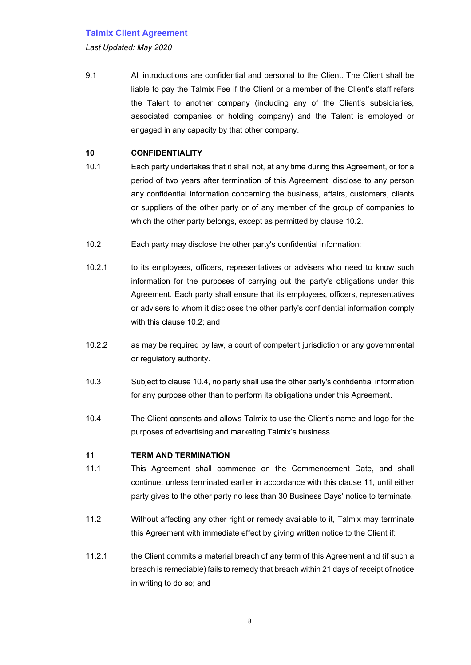*Last Updated: May 2020*

9.1 All introductions are confidential and personal to the Client. The Client shall be liable to pay the Talmix Fee if the Client or a member of the Client's staff refers the Talent to another company (including any of the Client's subsidiaries, associated companies or holding company) and the Talent is employed or engaged in any capacity by that other company.

### **10 CONFIDENTIALITY**

- 10.1 Each party undertakes that it shall not, at any time during this Agreement, or for a period of two years after termination of this Agreement, disclose to any person any confidential information concerning the business, affairs, customers, clients or suppliers of the other party or of any member of the group of companies to which the other party belongs, except as permitted by clause 10.2.
- 10.2 Each party may disclose the other party's confidential information:
- 10.2.1 to its employees, officers, representatives or advisers who need to know such information for the purposes of carrying out the party's obligations under this Agreement. Each party shall ensure that its employees, officers, representatives or advisers to whom it discloses the other party's confidential information comply with this clause 10.2; and
- 10.2.2 as may be required by law, a court of competent jurisdiction or any governmental or regulatory authority.
- 10.3 Subject to clause 10.4, no party shall use the other party's confidential information for any purpose other than to perform its obligations under this Agreement.
- 10.4 The Client consents and allows Talmix to use the Client's name and logo for the purposes of advertising and marketing Talmix's business.

## **11 TERM AND TERMINATION**

- 11.1 This Agreement shall commence on the Commencement Date, and shall continue, unless terminated earlier in accordance with this clause 11, until either party gives to the other party no less than 30 Business Days' notice to terminate.
- 11.2 Without affecting any other right or remedy available to it, Talmix may terminate this Agreement with immediate effect by giving written notice to the Client if:
- 11.2.1 the Client commits a material breach of any term of this Agreement and (if such a breach is remediable) fails to remedy that breach within 21 days of receipt of notice in writing to do so; and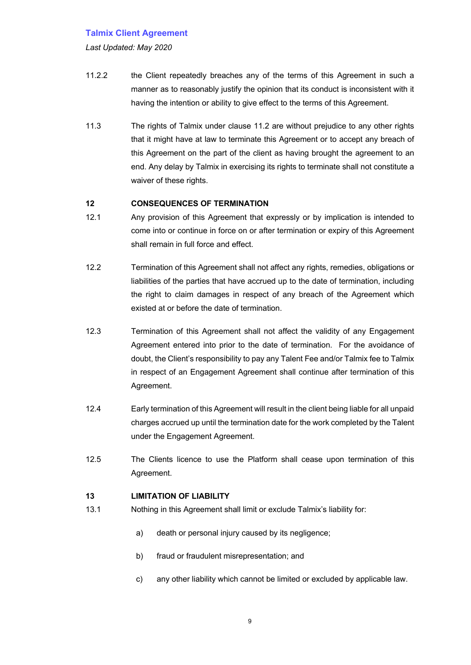*Last Updated: May 2020*

- 11.2.2 the Client repeatedly breaches any of the terms of this Agreement in such a manner as to reasonably justify the opinion that its conduct is inconsistent with it having the intention or ability to give effect to the terms of this Agreement.
- 11.3 The rights of Talmix under clause 11.2 are without prejudice to any other rights that it might have at law to terminate this Agreement or to accept any breach of this Agreement on the part of the client as having brought the agreement to an end. Any delay by Talmix in exercising its rights to terminate shall not constitute a waiver of these rights.

### **12 CONSEQUENCES OF TERMINATION**

- 12.1 Any provision of this Agreement that expressly or by implication is intended to come into or continue in force on or after termination or expiry of this Agreement shall remain in full force and effect.
- 12.2 Termination of this Agreement shall not affect any rights, remedies, obligations or liabilities of the parties that have accrued up to the date of termination, including the right to claim damages in respect of any breach of the Agreement which existed at or before the date of termination.
- 12.3 Termination of this Agreement shall not affect the validity of any Engagement Agreement entered into prior to the date of termination. For the avoidance of doubt, the Client's responsibility to pay any Talent Fee and/or Talmix fee to Talmix in respect of an Engagement Agreement shall continue after termination of this Agreement.
- 12.4 Early termination of this Agreement will result in the client being liable for all unpaid charges accrued up until the termination date for the work completed by the Talent under the Engagement Agreement.
- 12.5 The Clients licence to use the Platform shall cease upon termination of this Agreement.

#### **13 LIMITATION OF LIABILITY**

- 13.1 Nothing in this Agreement shall limit or exclude Talmix's liability for:
	- a) death or personal injury caused by its negligence;
	- b) fraud or fraudulent misrepresentation; and
	- c) any other liability which cannot be limited or excluded by applicable law.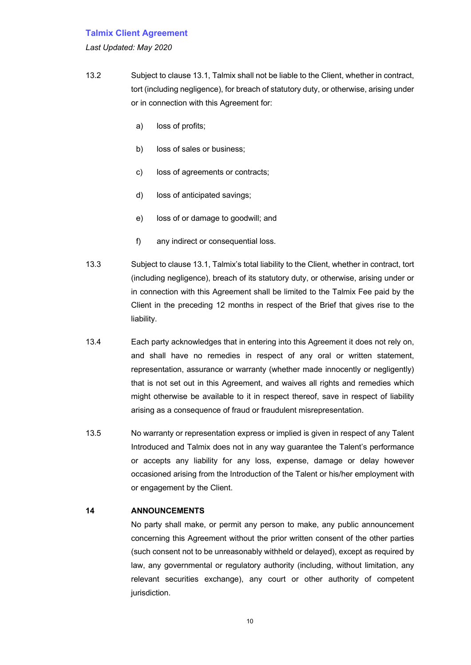#### *Last Updated: May 2020*

- 13.2 Subject to clause 13.1, Talmix shall not be liable to the Client, whether in contract, tort (including negligence), for breach of statutory duty, or otherwise, arising under or in connection with this Agreement for:
	- a) loss of profits;
	- b) loss of sales or business;
	- c) loss of agreements or contracts;
	- d) loss of anticipated savings;
	- e) loss of or damage to goodwill; and
	- f) any indirect or consequential loss.
- 13.3 Subject to clause 13.1, Talmix's total liability to the Client, whether in contract, tort (including negligence), breach of its statutory duty, or otherwise, arising under or in connection with this Agreement shall be limited to the Talmix Fee paid by the Client in the preceding 12 months in respect of the Brief that gives rise to the liability.
- 13.4 Each party acknowledges that in entering into this Agreement it does not rely on, and shall have no remedies in respect of any oral or written statement, representation, assurance or warranty (whether made innocently or negligently) that is not set out in this Agreement, and waives all rights and remedies which might otherwise be available to it in respect thereof, save in respect of liability arising as a consequence of fraud or fraudulent misrepresentation.
- 13.5 No warranty or representation express or implied is given in respect of any Talent Introduced and Talmix does not in any way guarantee the Talent's performance or accepts any liability for any loss, expense, damage or delay however occasioned arising from the Introduction of the Talent or his/her employment with or engagement by the Client.

#### **14 ANNOUNCEMENTS**

No party shall make, or permit any person to make, any public announcement concerning this Agreement without the prior written consent of the other parties (such consent not to be unreasonably withheld or delayed), except as required by law, any governmental or regulatory authority (including, without limitation, any relevant securities exchange), any court or other authority of competent jurisdiction.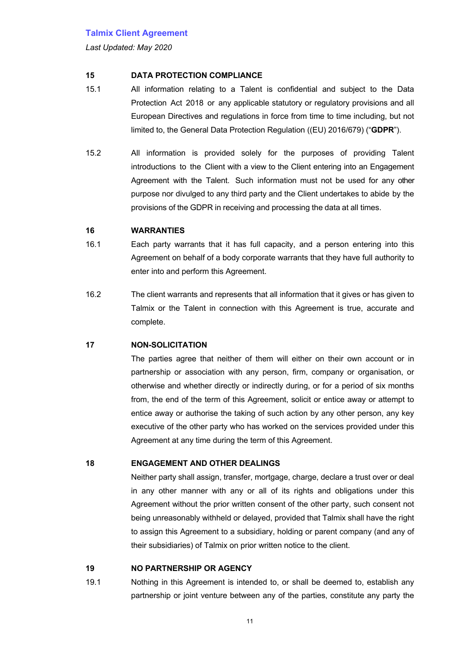*Last Updated: May 2020*

### **15 DATA PROTECTION COMPLIANCE**

- 15.1 All information relating to a Talent is confidential and subject to the Data Protection Act 2018 or any applicable statutory or regulatory provisions and all European Directives and regulations in force from time to time including, but not limited to, the General Data Protection Regulation ((EU) 2016/679) ("**GDPR**").
- 15.2 All information is provided solely for the purposes of providing Talent introductions to the Client with a view to the Client entering into an Engagement Agreement with the Talent. Such information must not be used for any other purpose nor divulged to any third party and the Client undertakes to abide by the provisions of the GDPR in receiving and processing the data at all times.

### **16 WARRANTIES**

- 16.1 Each party warrants that it has full capacity, and a person entering into this Agreement on behalf of a body corporate warrants that they have full authority to enter into and perform this Agreement.
- 16.2 The client warrants and represents that all information that it gives or has given to Talmix or the Talent in connection with this Agreement is true, accurate and complete.

# **17 NON-SOLICITATION**

The parties agree that neither of them will either on their own account or in partnership or association with any person, firm, company or organisation, or otherwise and whether directly or indirectly during, or for a period of six months from, the end of the term of this Agreement, solicit or entice away or attempt to entice away or authorise the taking of such action by any other person, any key executive of the other party who has worked on the services provided under this Agreement at any time during the term of this Agreement.

#### **18 ENGAGEMENT AND OTHER DEALINGS**

Neither party shall assign, transfer, mortgage, charge, declare a trust over or deal in any other manner with any or all of its rights and obligations under this Agreement without the prior written consent of the other party, such consent not being unreasonably withheld or delayed, provided that Talmix shall have the right to assign this Agreement to a subsidiary, holding or parent company (and any of their subsidiaries) of Talmix on prior written notice to the client.

## **19 NO PARTNERSHIP OR AGENCY**

19.1 Nothing in this Agreement is intended to, or shall be deemed to, establish any partnership or joint venture between any of the parties, constitute any party the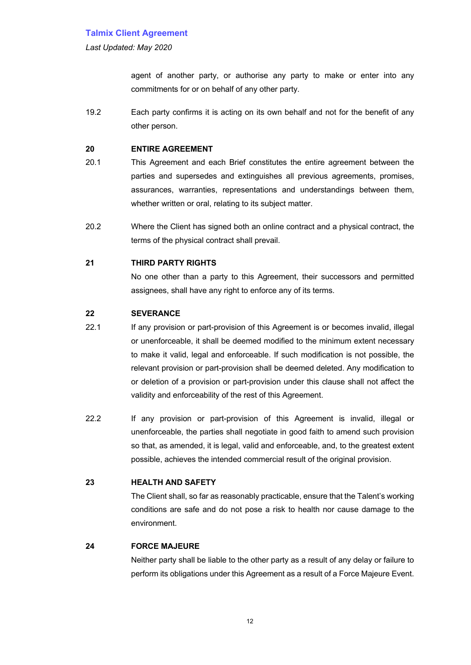*Last Updated: May 2020*

agent of another party, or authorise any party to make or enter into any commitments for or on behalf of any other party.

19.2 Each party confirms it is acting on its own behalf and not for the benefit of any other person.

#### **20 ENTIRE AGREEMENT**

- 20.1 This Agreement and each Brief constitutes the entire agreement between the parties and supersedes and extinguishes all previous agreements, promises, assurances, warranties, representations and understandings between them, whether written or oral, relating to its subject matter.
- 20.2 Where the Client has signed both an online contract and a physical contract, the terms of the physical contract shall prevail.

### **21 THIRD PARTY RIGHTS**

No one other than a party to this Agreement, their successors and permitted assignees, shall have any right to enforce any of its terms.

#### **22 SEVERANCE**

- 22.1 If any provision or part-provision of this Agreement is or becomes invalid, illegal or unenforceable, it shall be deemed modified to the minimum extent necessary to make it valid, legal and enforceable. If such modification is not possible, the relevant provision or part-provision shall be deemed deleted. Any modification to or deletion of a provision or part-provision under this clause shall not affect the validity and enforceability of the rest of this Agreement.
- 22.2 If any provision or part-provision of this Agreement is invalid, illegal or unenforceable, the parties shall negotiate in good faith to amend such provision so that, as amended, it is legal, valid and enforceable, and, to the greatest extent possible, achieves the intended commercial result of the original provision.

## **23 HEALTH AND SAFETY**

The Client shall, so far as reasonably practicable, ensure that the Talent's working conditions are safe and do not pose a risk to health nor cause damage to the environment.

#### **24 FORCE MAJEURE**

Neither party shall be liable to the other party as a result of any delay or failure to perform its obligations under this Agreement as a result of a Force Majeure Event.